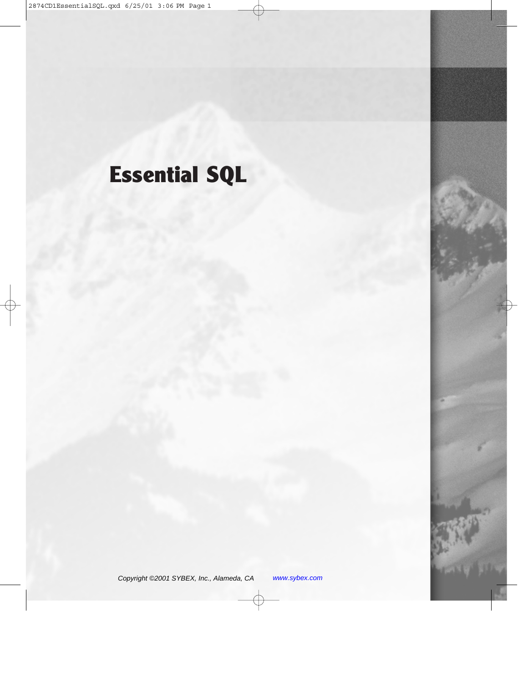# **Essential SQL**

Copyright ©2001 SYBEX, Inc., Alameda, CA www.sybex.com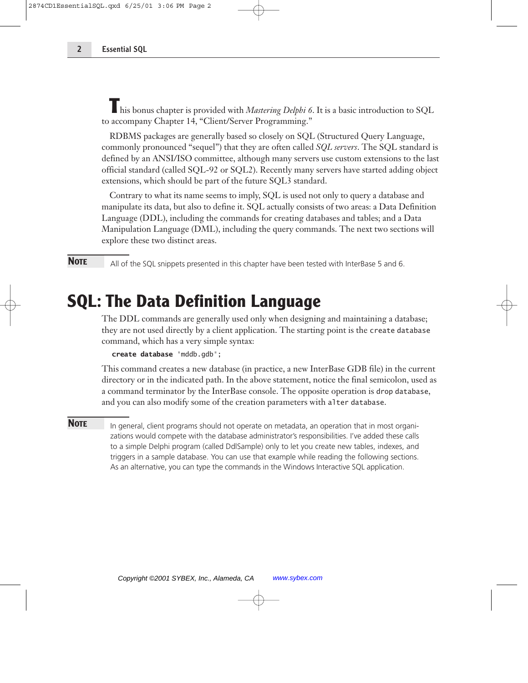**T**his bonus chapter is provided with *Mastering Delphi 6*. It is a basic introduction to SQL to accompany Chapter 14, "Client/Server Programming."

RDBMS packages are generally based so closely on SQL (Structured Query Language, commonly pronounced "sequel") that they are often called *SQL servers*. The SQL standard is defined by an ANSI/ISO committee, although many servers use custom extensions to the last official standard (called SQL-92 or SQL2). Recently many servers have started adding object extensions, which should be part of the future SQL3 standard.

Contrary to what its name seems to imply, SQL is used not only to query a database and manipulate its data, but also to define it. SQL actually consists of two areas: a Data Definition Language (DDL), including the commands for creating databases and tables; and a Data Manipulation Language (DML), including the query commands. The next two sections will explore these two distinct areas.

**NOTE** All of the SQL snippets presented in this chapter have been tested with InterBase 5 and 6.

## **SQL: The Data Definition Language**

The DDL commands are generally used only when designing and maintaining a database; they are not used directly by a client application. The starting point is the create database command, which has a very simple syntax:

```
create database "mddb.gdb";
```
This command creates a new database (in practice, a new InterBase GDB file) in the current directory or in the indicated path. In the above statement, notice the final semicolon, used as a command terminator by the InterBase console. The opposite operation is drop database, and you can also modify some of the creation parameters with alter database.

**NOTE** In general, client programs should not operate on metadata, an operation that in most organizations would compete with the database administrator's responsibilities. I've added these calls to a simple Delphi program (called DdlSample) only to let you create new tables, indexes, and triggers in a sample database. You can use that example while reading the following sections. As an alternative, you can type the commands in the Windows Interactive SQL application.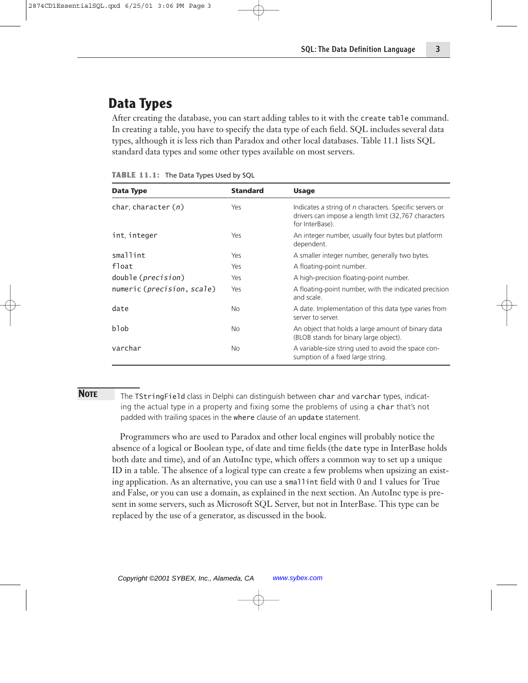## **Data Types**

After creating the database, you can start adding tables to it with the create table command. In creating a table, you have to specify the data type of each field. SQL includes several data types, although it is less rich than Paradox and other local databases. Table 11.1 lists SQL standard data types and some other types available on most servers.

| Data Type                   | <b>Standard</b> | <b>Usage</b>                                                                                                                       |
|-----------------------------|-----------------|------------------------------------------------------------------------------------------------------------------------------------|
| char, character $(n)$       | Yes             | Indicates a string of n characters. Specific servers or<br>drivers can impose a length limit (32,767 characters<br>for InterBase). |
| int, integer                | Yes             | An integer number, usually four bytes but platform<br>dependent.                                                                   |
| smallint                    | Yes             | A smaller integer number, generally two bytes.                                                                                     |
| float                       | Yes             | A floating-point number.                                                                                                           |
| double ( <i>precision</i> ) | Yes             | A high-precision floating-point number.                                                                                            |
| numeric (precision, scale)  | Yes             | A floating-point number, with the indicated precision<br>and scale.                                                                |
| date                        | <b>No</b>       | A date. Implementation of this data type varies from<br>server to server.                                                          |
| blob                        | <b>No</b>       | An object that holds a large amount of binary data<br>(BLOB stands for binary large object).                                       |
| varchar                     | <b>No</b>       | A variable-size string used to avoid the space con-<br>sumption of a fixed large string.                                           |

|  |  | TABLE 11.1: The Data Types Used by SQL |  |  |  |
|--|--|----------------------------------------|--|--|--|
|--|--|----------------------------------------|--|--|--|

**NOTE** The TStringField class in Delphi can distinguish between char and varchar types, indicating the actual type in a property and fixing some the problems of using a char that's not padded with trailing spaces in the where clause of an update statement.

Programmers who are used to Paradox and other local engines will probably notice the absence of a logical or Boolean type, of date and time fields (the date type in InterBase holds both date and time), and of an AutoInc type, which offers a common way to set up a unique ID in a table. The absence of a logical type can create a few problems when upsizing an existing application. As an alternative, you can use a smallint field with 0 and 1 values for True and False, or you can use a domain, as explained in the next section. An AutoInc type is present in some servers, such as Microsoft SQL Server, but not in InterBase. This type can be replaced by the use of a generator, as discussed in the book.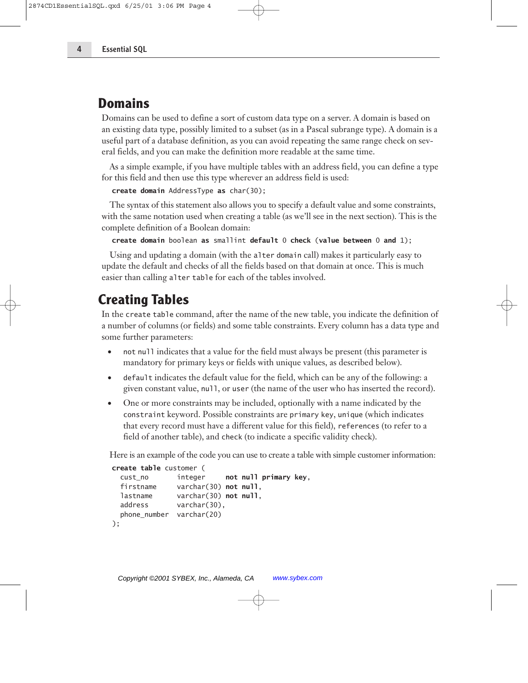#### **Domains**

Domains can be used to define a sort of custom data type on a server. A domain is based on an existing data type, possibly limited to a subset (as in a Pascal subrange type). A domain is a useful part of a database definition, as you can avoid repeating the same range check on several fields, and you can make the definition more readable at the same time.

As a simple example, if you have multiple tables with an address field, you can define a type for this field and then use this type wherever an address field is used:

```
create domain AddressType as char(30);
```
The syntax of this statement also allows you to specify a default value and some constraints, with the same notation used when creating a table (as we'll see in the next section). This is the complete definition of a Boolean domain:

**create domain** boolean **as** smallint **default** 0 **check** (**value between** 0 **and** 1);

Using and updating a domain (with the alter domain call) makes it particularly easy to update the default and checks of all the fields based on that domain at once. This is much easier than calling alter table for each of the tables involved.

#### **Creating Tables**

In the create table command, after the name of the new table, you indicate the definition of a number of columns (or fields) and some table constraints. Every column has a data type and some further parameters:

- not null indicates that a value for the field must always be present (this parameter is mandatory for primary keys or fields with unique values, as described below).
- default indicates the default value for the field, which can be any of the following: a given constant value, null, or user (the name of the user who has inserted the record).
- One or more constraints may be included, optionally with a name indicated by the constraint keyword. Possible constraints are primary key, unique (which indicates that every record must have a different value for this field), references (to refer to a field of another table), and check (to indicate a specific validity check).

Here is an example of the code you can use to create a table with simple customer information:

```
create table customer (
 cust no integer not null primary key,
  firstname varchar(30) not null,
  lastname varchar(30) not null,
  address varchar(30),
 phone_number varchar(20)
);
```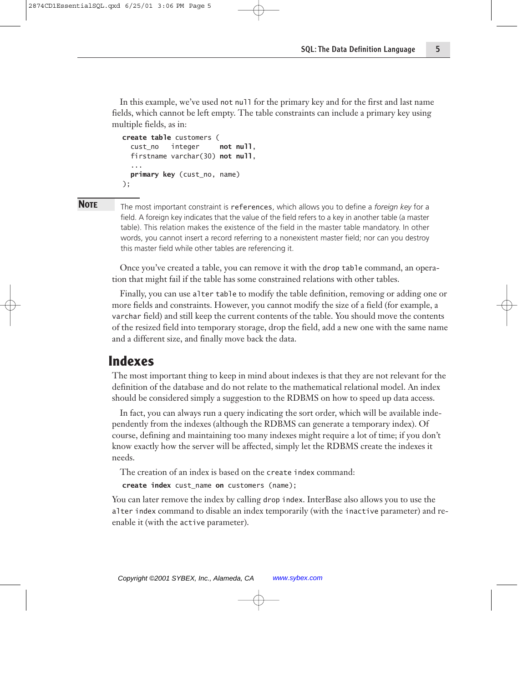In this example, we've used not null for the primary key and for the first and last name fields, which cannot be left empty. The table constraints can include a primary key using multiple fields, as in:

```
create table customers (
  cust_no integer not null,
  firstname varchar(30) not null,
  ...
 primary key (cust_no, name)
);
```
**NOTE** The most important constraint is references, which allows you to define a *foreign key* for a field. A foreign key indicates that the value of the field refers to a key in another table (a master table). This relation makes the existence of the field in the master table mandatory. In other words, you cannot insert a record referring to a nonexistent master field; nor can you destroy this master field while other tables are referencing it.

Once you've created a table, you can remove it with the drop table command, an operation that might fail if the table has some constrained relations with other tables.

Finally, you can use alter table to modify the table definition, removing or adding one or more fields and constraints. However, you cannot modify the size of a field (for example, a varchar field) and still keep the current contents of the table. You should move the contents of the resized field into temporary storage, drop the field, add a new one with the same name and a different size, and finally move back the data.

#### **Indexes**

The most important thing to keep in mind about indexes is that they are not relevant for the definition of the database and do not relate to the mathematical relational model. An index should be considered simply a suggestion to the RDBMS on how to speed up data access.

In fact, you can always run a query indicating the sort order, which will be available independently from the indexes (although the RDBMS can generate a temporary index). Of course, defining and maintaining too many indexes might require a lot of time; if you don't know exactly how the server will be affected, simply let the RDBMS create the indexes it needs.

The creation of an index is based on the create index command:

```
create index cust_name on customers (name);
```
You can later remove the index by calling drop index. InterBase also allows you to use the alter index command to disable an index temporarily (with the inactive parameter) and reenable it (with the active parameter).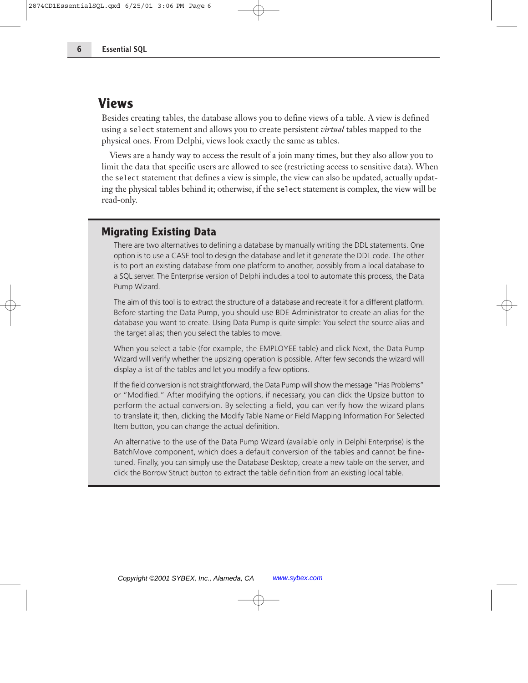#### **Views**

Besides creating tables, the database allows you to define views of a table. A view is defined using a select statement and allows you to create persistent *virtual* tables mapped to the physical ones. From Delphi, views look exactly the same as tables.

Views are a handy way to access the result of a join many times, but they also allow you to limit the data that specific users are allowed to see (restricting access to sensitive data). When the select statement that defines a view is simple, the view can also be updated, actually updating the physical tables behind it; otherwise, if the select statement is complex, the view will be read-only.

#### **Migrating Existing Data**

There are two alternatives to defining a database by manually writing the DDL statements. One option is to use a CASE tool to design the database and let it generate the DDL code. The other is to port an existing database from one platform to another, possibly from a local database to a SQL server. The Enterprise version of Delphi includes a tool to automate this process, the Data Pump Wizard.

The aim of this tool is to extract the structure of a database and recreate it for a different platform. Before starting the Data Pump, you should use BDE Administrator to create an alias for the database you want to create. Using Data Pump is quite simple: You select the source alias and the target alias; then you select the tables to move.

When you select a table (for example, the EMPLOYEE table) and click Next, the Data Pump Wizard will verify whether the upsizing operation is possible. After few seconds the wizard will display a list of the tables and let you modify a few options.

If the field conversion is not straightforward, the Data Pump will show the message "Has Problems" or "Modified." After modifying the options, if necessary, you can click the Upsize button to perform the actual conversion. By selecting a field, you can verify how the wizard plans to translate it; then, clicking the Modify Table Name or Field Mapping Information For Selected Item button, you can change the actual definition.

An alternative to the use of the Data Pump Wizard (available only in Delphi Enterprise) is the BatchMove component, which does a default conversion of the tables and cannot be finetuned. Finally, you can simply use the Database Desktop, create a new table on the server, and click the Borrow Struct button to extract the table definition from an existing local table.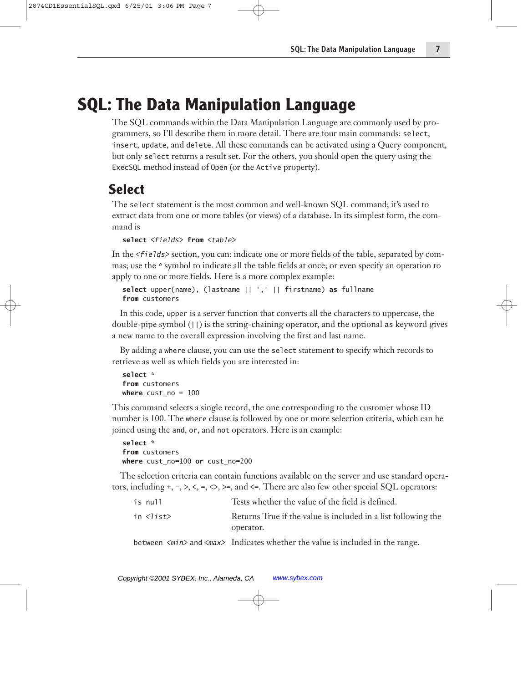# **SQL: The Data Manipulation Language**

The SQL commands within the Data Manipulation Language are commonly used by programmers, so I'll describe them in more detail. There are four main commands: select, insert, update, and delete. All these commands can be activated using a Query component, but only select returns a result set. For the others, you should open the query using the ExecSQL method instead of Open (or the Active property).

## **Select**

The select statement is the most common and well-known SQL command; it's used to extract data from one or more tables (or views) of a database. In its simplest form, the command is

```
select <fields> from <table>
```
In the *<fields>* section, you can: indicate one or more fields of the table, separated by commas; use the \* symbol to indicate all the table fields at once; or even specify an operation to apply to one or more fields. Here is a more complex example:

```
select upper(name), (lastname || "," || firstname) as fullname
from customers
```
In this code, upper is a server function that converts all the characters to uppercase, the double-pipe symbol  $(|)$  is the string-chaining operator, and the optional as keyword gives a new name to the overall expression involving the first and last name.

By adding a where clause, you can use the select statement to specify which records to retrieve as well as which fields you are interested in:

```
select *
from customers
where cust_no = 100
```
This command selects a single record, the one corresponding to the customer whose ID number is 100. The where clause is followed by one or more selection criteria, which can be joined using the and, or, and not operators. Here is an example:

```
select *
from customers
where cust_no=100 or cust_no=200
```
The selection criteria can contain functions available on the server and use standard operators, including  $+, -, >, <, =, \diamondsuit, >$ , and  $\le$ . There are also few other special SQL operators:

| is null                     | Tests whether the value of the field is defined.              |
|-----------------------------|---------------------------------------------------------------|
| in $\langle$ list $\rangle$ | Returns True if the value is included in a list following the |
|                             | operator.                                                     |

between <*min>* and <*max>* Indicates whether the value is included in the range.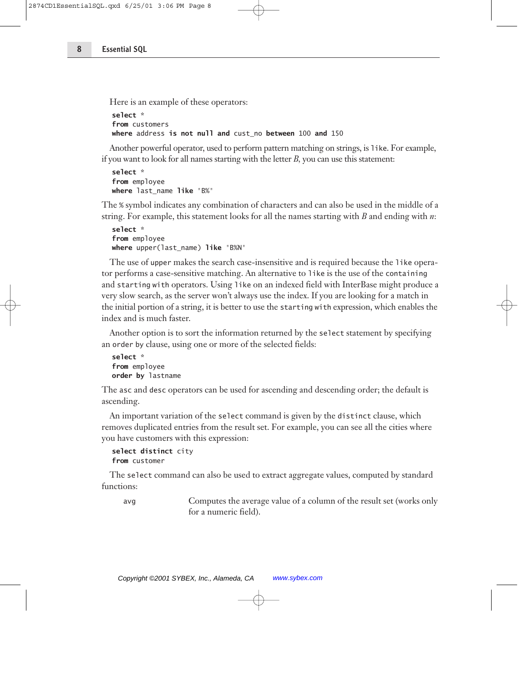Here is an example of these operators:

```
select *
from customers
where address is not null and cust_no between 100 and 150
```
Another powerful operator, used to perform pattern matching on strings, is like. For example, if you want to look for all names starting with the letter *B,* you can use this statement:

```
select *
from employee
where last_name like "B%"
```
The % symbol indicates any combination of characters and can also be used in the middle of a string. For example, this statement looks for all the names starting with *B* and ending with *n*:

```
select *
from employee
where upper(last_name) like "B%N"
```
The use of upper makes the search case-insensitive and is required because the like operator performs a case-sensitive matching. An alternative to like is the use of the containing and starting with operators. Using like on an indexed field with InterBase might produce a very slow search, as the server won't always use the index. If you are looking for a match in the initial portion of a string, it is better to use the starting with expression, which enables the index and is much faster.

Another option is to sort the information returned by the select statement by specifying an order by clause, using one or more of the selected fields:

```
select *
from employee
order by lastname
```
The asc and desc operators can be used for ascending and descending order; the default is ascending.

An important variation of the select command is given by the distinct clause, which removes duplicated entries from the result set. For example, you can see all the cities where you have customers with this expression:

```
select distinct city
from customer
```
The select command can also be used to extract aggregate values, computed by standard functions:

avg Computes the average value of a column of the result set (works only for a numeric field).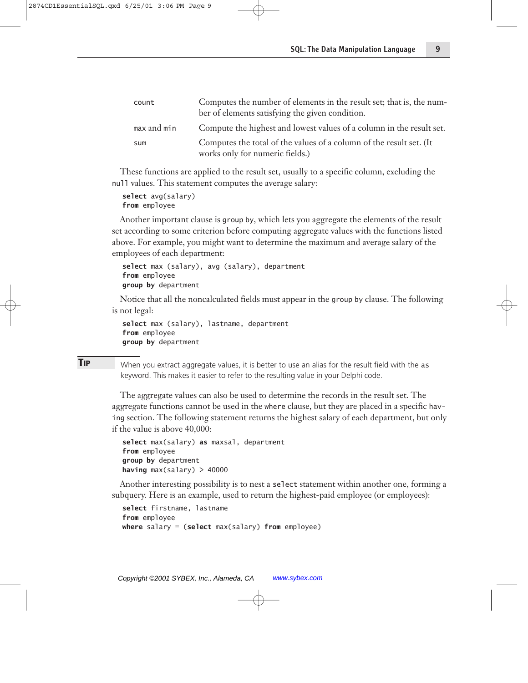| count       | Computes the number of elements in the result set; that is, the num-<br>ber of elements satisfying the given condition. |
|-------------|-------------------------------------------------------------------------------------------------------------------------|
| max and min | Compute the highest and lowest values of a column in the result set.                                                    |
| sum         | Computes the total of the values of a column of the result set. (It                                                     |
|             | works only for numeric fields.)                                                                                         |

These functions are applied to the result set, usually to a specific column, excluding the null values. This statement computes the average salary:

**select** avg(salary) **from** employee

Another important clause is group by, which lets you aggregate the elements of the result set according to some criterion before computing aggregate values with the functions listed above. For example, you might want to determine the maximum and average salary of the employees of each department:

```
select max (salary), avg (salary), department
from employee
group by department
```
Notice that all the noncalculated fields must appear in the group by clause. The following is not legal:

```
select max (salary), lastname, department
from employee
group by department
```
**TIP** When you extract aggregate values, it is better to use an alias for the result field with the as keyword. This makes it easier to refer to the resulting value in your Delphi code.

The aggregate values can also be used to determine the records in the result set. The aggregate functions cannot be used in the where clause, but they are placed in a specific having section. The following statement returns the highest salary of each department, but only if the value is above 40,000:

```
select max(salary) as maxsal, department
from employee
group by department
having max(salary) > 40000
```
Another interesting possibility is to nest a select statement within another one, forming a subquery. Here is an example, used to return the highest-paid employee (or employees):

```
select firstname, lastname
from employee
where salary = (select max(salary) from employee)
```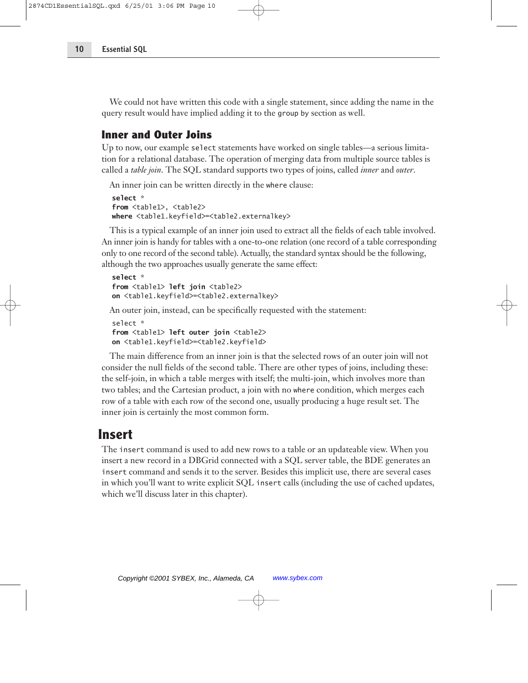We could not have written this code with a single statement, since adding the name in the query result would have implied adding it to the group by section as well.

#### **Inner and Outer Joins**

Up to now, our example select statements have worked on single tables—a serious limitation for a relational database. The operation of merging data from multiple source tables is called a *table join*. The SQL standard supports two types of joins, called *inner* and *outer*.

An inner join can be written directly in the where clause:

```
select *
from <table1>, <table2>
where <table1.keyfield>=<table2.externalkey>
```
This is a typical example of an inner join used to extract all the fields of each table involved. An inner join is handy for tables with a one-to-one relation (one record of a table corresponding only to one record of the second table). Actually, the standard syntax should be the following, although the two approaches usually generate the same effect:

```
select *
from <table1> left join <table2>
on <table1.keyfield>=<table2.externalkey>
```
An outer join, instead, can be specifically requested with the statement:

```
select *
from <table1> left outer join <table2>
on <table1.keyfield>=<table2.keyfield>
```
The main difference from an inner join is that the selected rows of an outer join will not consider the null fields of the second table. There are other types of joins, including these: the self-join, in which a table merges with itself; the multi-join, which involves more than two tables; and the Cartesian product, a join with no where condition, which merges each row of a table with each row of the second one, usually producing a huge result set. The inner join is certainly the most common form.

## **Insert**

The insert command is used to add new rows to a table or an updateable view. When you insert a new record in a DBGrid connected with a SQL server table, the BDE generates an insert command and sends it to the server. Besides this implicit use, there are several cases in which you'll want to write explicit SQL insert calls (including the use of cached updates, which we'll discuss later in this chapter).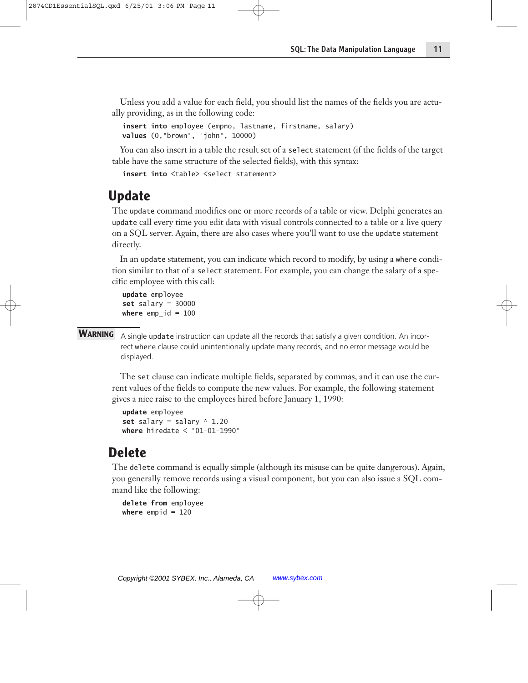Unless you add a value for each field, you should list the names of the fields you are actually providing, as in the following code:

**insert into** employee (empno, lastname, firstname, salary) **values** (0,"brown", "john", 10000)

You can also insert in a table the result set of a select statement (if the fields of the target table have the same structure of the selected fields), with this syntax:

```
insert into <table> <select statement>
```
## **Update**

The update command modifies one or more records of a table or view. Delphi generates an update call every time you edit data with visual controls connected to a table or a live query on a SQL server. Again, there are also cases where you'll want to use the update statement directly.

In an update statement, you can indicate which record to modify, by using a where condition similar to that of a select statement. For example, you can change the salary of a specific employee with this call:

**update** employee **set** salary = 30000 **where** emp  $id = 100$ 

#### WARNING A single update instruction can update all the records that satisfy a given condition. An incorrect where clause could unintentionally update many records, and no error message would be displayed.

The set clause can indicate multiple fields, separated by commas, and it can use the current values of the fields to compute the new values. For example, the following statement gives a nice raise to the employees hired before January 1, 1990:

```
update employee
set salary = salary * 1.20
where hiredate < "01-01-1990"
```
#### **Delete**

The delete command is equally simple (although its misuse can be quite dangerous). Again, you generally remove records using a visual component, but you can also issue a SQL command like the following:

```
delete from employee
where empid = 120
```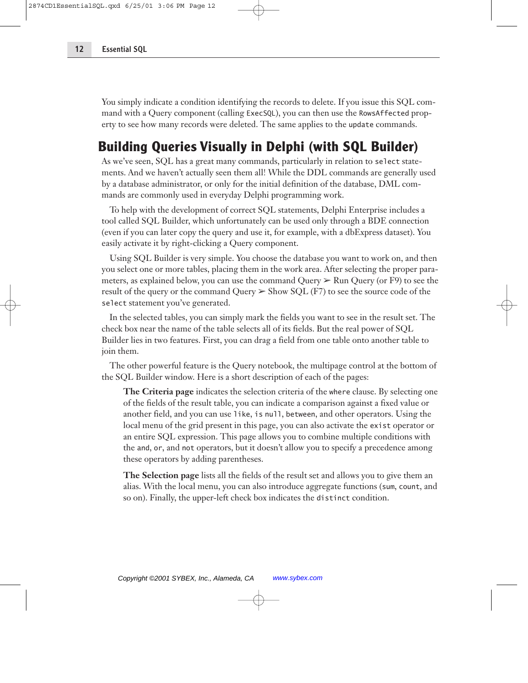You simply indicate a condition identifying the records to delete. If you issue this SQL command with a Query component (calling ExecSQL), you can then use the RowsAffected property to see how many records were deleted. The same applies to the update commands.

## **Building Queries Visually in Delphi (with SQL Builder)**

As we've seen, SQL has a great many commands, particularly in relation to select statements. And we haven't actually seen them all! While the DDL commands are generally used by a database administrator, or only for the initial definition of the database, DML commands are commonly used in everyday Delphi programming work.

To help with the development of correct SQL statements, Delphi Enterprise includes a tool called SQL Builder, which unfortunately can be used only through a BDE connection (even if you can later copy the query and use it, for example, with a dbExpress dataset). You easily activate it by right-clicking a Query component.

Using SQL Builder is very simple. You choose the database you want to work on, and then you select one or more tables, placing them in the work area. After selecting the proper parameters, as explained below, you can use the command Query  $\triangleright$  Run Query (or F9) to see the result of the query or the command Query  $\geq$  Show SQL (F7) to see the source code of the select statement you've generated.

In the selected tables, you can simply mark the fields you want to see in the result set. The check box near the name of the table selects all of its fields. But the real power of SQL Builder lies in two features. First, you can drag a field from one table onto another table to join them.

The other powerful feature is the Query notebook, the multipage control at the bottom of the SQL Builder window. Here is a short description of each of the pages:

**The Criteria page** indicates the selection criteria of the where clause. By selecting one of the fields of the result table, you can indicate a comparison against a fixed value or another field, and you can use like, is null, between, and other operators. Using the local menu of the grid present in this page, you can also activate the exist operator or an entire SQL expression. This page allows you to combine multiple conditions with the and, or, and not operators, but it doesn't allow you to specify a precedence among these operators by adding parentheses.

**The Selection page** lists all the fields of the result set and allows you to give them an alias. With the local menu, you can also introduce aggregate functions (sum, count, and so on). Finally, the upper-left check box indicates the distinct condition.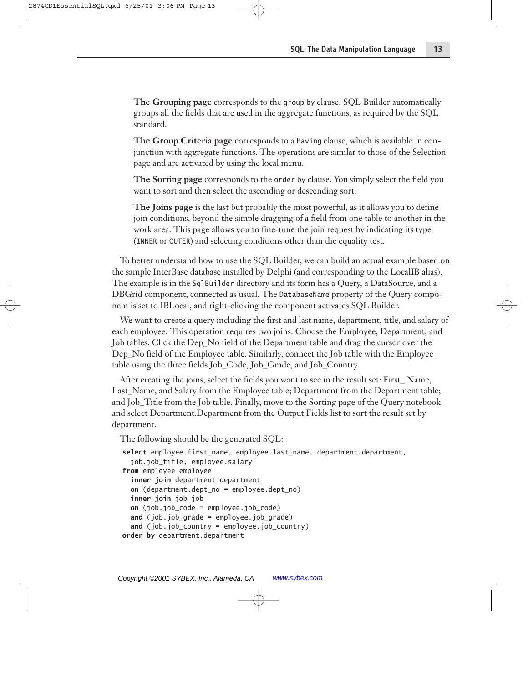**The Grouping page** corresponds to the group by clause. SQL Builder automatically groups all the fields that are used in the aggregate functions, as required by the SQL standard.

**The Group Criteria page** corresponds to a having clause, which is available in conjunction with aggregate functions. The operations are similar to those of the Selection page and are activated by using the local menu.

**The Sorting page** corresponds to the order by clause. You simply select the field you want to sort and then select the ascending or descending sort.

**The Joins page** is the last but probably the most powerful, as it allows you to define join conditions, beyond the simple dragging of a field from one table to another in the work area. This page allows you to fine-tune the join request by indicating its type (INNER or OUTER) and selecting conditions other than the equality test.

To better understand how to use the SQL Builder, we can build an actual example based on the sample InterBase database installed by Delphi (and corresponding to the LocalIB alias). The example is in the SqlBuilder directory and its form has a Query, a DataSource, and a DBGrid component, connected as usual. The DatabaseName property of the Query component is set to IBLocal, and right-clicking the component activates SQL Builder.

We want to create a query including the first and last name, department, title, and salary of each employee. This operation requires two joins. Choose the Employee, Department, and Job tables. Click the Dep\_No field of the Department table and drag the cursor over the Dep No field of the Employee table. Similarly, connect the Job table with the Employee table using the three fields Job\_Code, Job\_Grade, and Job\_Country.

After creating the joins, select the fields you want to see in the result set: First\_ Name, Last\_Name, and Salary from the Employee table; Department from the Department table; and Job\_Title from the Job table. Finally, move to the Sorting page of the Query notebook and select Department.Department from the Output Fields list to sort the result set by department.

The following should be the generated SQL:

```
select employee.first_name, employee.last_name, department.department,
  job.job_title, employee.salary
from employee employee
  inner join department department
  on (department.dept_no = employee.dept_no)
  inner join job job
  on (job.job_code = employee.job_code)
  and (job.job_grade = employee.job_grade)
  and (job.job_country = employee.job_country)
order by department.department
```